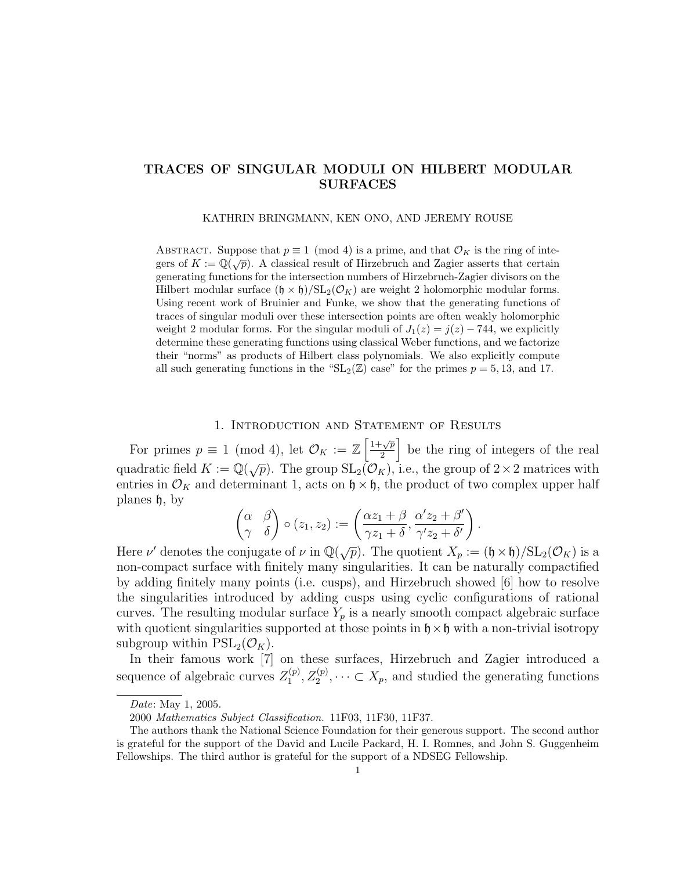### TRACES OF SINGULAR MODULI ON HILBERT MODULAR SURFACES

KATHRIN BRINGMANN, KEN ONO, AND JEREMY ROUSE

ABSTRACT. Suppose that  $p \equiv 1 \pmod{4}$  is a prime, and that  $\mathcal{O}_K$  is the ring of inte-ABSTRACT. Suppose that  $p \equiv 1 \pmod{4}$  is a prime, and that  $C_K$  is the ring of integers of  $K := \mathbb{Q}(\sqrt{p})$ . A classical result of Hirzebruch and Zagier asserts that certain generating functions for the intersection numbers of Hirzebruch-Zagier divisors on the Hilbert modular surface  $(\mathfrak{h} \times \mathfrak{h})/\mathrm{SL}_2(\mathcal{O}_K)$  are weight 2 holomorphic modular forms. Using recent work of Bruinier and Funke, we show that the generating functions of traces of singular moduli over these intersection points are often weakly holomorphic weight 2 modular forms. For the singular moduli of  $J_1(z) = j(z) - 744$ , we explicitly determine these generating functions using classical Weber functions, and we factorize their "norms" as products of Hilbert class polynomials. We also explicitly compute all such generating functions in the " $SL_2(\mathbb{Z})$  case" for the primes  $p = 5, 13,$  and 17.

### 1. Introduction and Statement of Results

For primes  $p \equiv 1 \pmod{4}$ , let  $\mathcal{O}_K := \mathbb{Z} \left[ \frac{1 + \sqrt{p}}{2} \right]$  $\left[\frac{\sqrt{p}}{2}\right]$  be the ring of integers of the real quadratic field  $K := \mathbb{Q}(\sqrt{p})$ . The group  $SL_2(\mathcal{O}_K)$ , i.e., the group of  $2 \times 2$  matrices with entries in  $\mathcal{O}_K$  and determinant 1, acts on  $\mathfrak{h} \times \mathfrak{h}$ , the product of two complex upper half planes h, by

$$
\begin{pmatrix} \alpha & \beta \\ \gamma & \delta \end{pmatrix} \circ (z_1, z_2) := \left( \frac{\alpha z_1 + \beta}{\gamma z_1 + \delta}, \frac{\alpha' z_2 + \beta'}{\gamma' z_2 + \delta'} \right).
$$

Here  $\nu'$  denotes the conjugate of  $\nu$  in  $\mathbb{Q}(\sqrt{p})$ . The quotient  $X_p := (\mathfrak{h} \times \mathfrak{h})/\mathrm{SL}_2(\mathcal{O}_K)$  is a non-compact surface with finitely many singularities. It can be naturally compactified by adding finitely many points (i.e. cusps), and Hirzebruch showed [6] how to resolve the singularities introduced by adding cusps using cyclic configurations of rational curves. The resulting modular surface  $Y_p$  is a nearly smooth compact algebraic surface with quotient singularities supported at those points in  $\mathfrak{h} \times \mathfrak{h}$  with a non-trivial isotropy subgroup within  $PSL_2(\mathcal{O}_K)$ .

In their famous work [7] on these surfaces, Hirzebruch and Zagier introduced a sequence of algebraic curves  $Z_1^{(p)}$  $I_1^{(p)}, Z_2^{(p)}, \dots \subset X_p$ , and studied the generating functions

Date: May 1, 2005.

<sup>2000</sup> Mathematics Subject Classification. 11F03, 11F30, 11F37.

The authors thank the National Science Foundation for their generous support. The second author is grateful for the support of the David and Lucile Packard, H. I. Romnes, and John S. Guggenheim Fellowships. The third author is grateful for the support of a NDSEG Fellowship.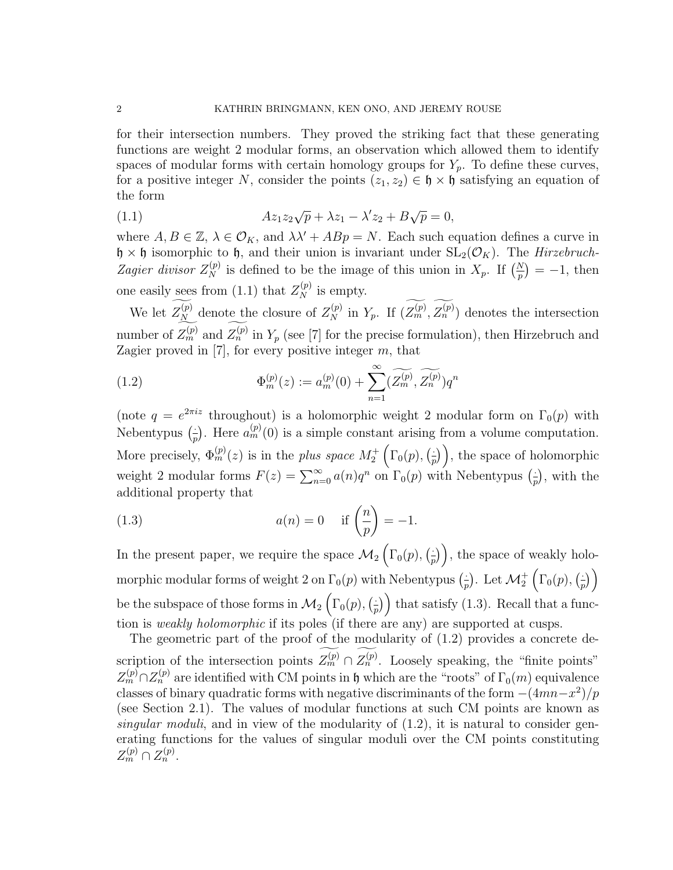for their intersection numbers. They proved the striking fact that these generating functions are weight 2 modular forms, an observation which allowed them to identify spaces of modular forms with certain homology groups for  $Y_p$ . To define these curves, for a positive integer N, consider the points  $(z_1, z_2) \in \mathfrak{h} \times \mathfrak{h}$  satisfying an equation of the form

(1.1) 
$$
Az_1z_2\sqrt{p} + \lambda z_1 - \lambda' z_2 + B\sqrt{p} = 0,
$$

where  $A, B \in \mathbb{Z}, \lambda \in \mathcal{O}_K$ , and  $\lambda \lambda' + ABp = N$ . Each such equation defines a curve in  $\mathfrak{h} \times \mathfrak{h}$  isomorphic to  $\mathfrak{h}$ , and their union is invariant under  $SL_2(\mathcal{O}_K)$ . The *Hirzebruch*-Zagier divisor  $Z_N^{(p)}$  is defined to be the image of this union in  $X_p$ . If  $\left(\frac{N}{p}\right) = -1$ , then one easily sees from (1.1) that  $Z_N^{(p)}$  is empty.

We let  $Z_N^{(p)}$  denote the closure of  $Z_N^{(p)}$  in  $Y_p$ . If  $(Z_m^{(p)}, Z_n^{(p)})$  denotes the intersection number of  $Z_m^{(p)}$  and  $Z_n^{(p)}$  in  $Y_p$  (see [7] for the precise formulation), then Hirzebruch and Zagier proved in  $[7]$ , for every positive integer  $m$ , that

(1.2) 
$$
\Phi_m^{(p)}(z) := a_m^{(p)}(0) + \sum_{n=1}^{\infty} (\widetilde{Z_m^{(p)}}, \widetilde{Z_n^{(p)}}) q^n
$$

(note  $q = e^{2\pi i z}$  throughout) is a holomorphic weight 2 modular form on  $\Gamma_0(p)$  with Nebentypus  $\left(\frac{1}{r}\right)$  $\frac{1}{p}$ . Here  $a_m^{(p)}(0)$  is a simple constant arising from a volume computation. More precisely,  $\Phi_m^{(p)}(z)$  is in the *plus space*  $M_2^+\left(\Gamma_0(p),\right)\frac{z}{k}$  $(\frac{1}{p})$ , the space of holomorphic weight 2 modular forms  $F(z) = \sum_{n=0}^{\infty} a(n)q^n$  on  $\Gamma_0(p)$  with Nebentypus  $\left(\frac{z}{p}\right)$  $(\frac{1}{p})$ , with the additional property that

(1.3) 
$$
a(n) = 0 \quad \text{if } \left(\frac{n}{p}\right) = -1.
$$

In the present paper, we require the space  $\mathcal{M}_2\left(\Gamma_0(p),\left(\frac{1}{p}\right)\right)$  $(\frac{1}{p})$ , the space of weakly holomorphic modular forms of weight 2 on  $\Gamma_0(p)$  with Nebentypus  $\left(\frac{1}{n}\right)$  $\frac{1}{p}$ ). Let  $\mathcal{M}^+_2\left(\Gamma_0(p),\big(\frac{1}{p}\right)$  $\frac{1}{p})\bigg)$ be the subspace of those forms in  $\mathcal{M}_2\left(\Gamma_0(p),\frac{p}{p}\right)$  $\left(\frac{1}{p}\right)$  that satisfy (1.3). Recall that a function is weakly holomorphic if its poles (if there are any) are supported at cusps.

The geometric part of the proof of the modularity of (1.2) provides a concrete description of the intersection points  $Z_m^{(p)} \cap Z_n^{(p)}$ . Loosely speaking, the "finite points"  $Z_m^{(p)} \cap Z_n^{(p)}$  are identified with CM points in h which are the "roots" of  $\Gamma_0(m)$  equivalence classes of binary quadratic forms with negative discriminants of the form  $-(4mn-x^2)/p$ (see Section 2.1). The values of modular functions at such CM points are known as singular moduli, and in view of the modularity of  $(1.2)$ , it is natural to consider generating functions for the values of singular moduli over the CM points constituting  $Z_m^{(p)} \cap Z_n^{(p)}$ .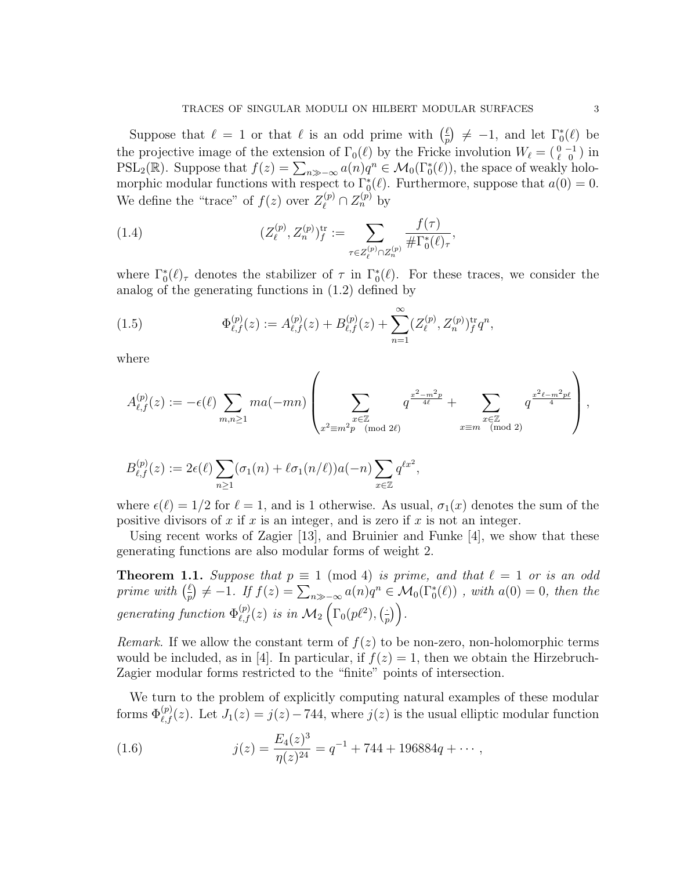Suppose that  $\ell = 1$  or that  $\ell$  is an odd prime with  $\left(\frac{\ell}{n}\right)$  $\binom{\ell}{p} \neq -1$ , and let  $\Gamma_0^*(\ell)$  be the projective image of the extension of  $\Gamma_0(\ell)$  by the Fricke involution  $W_\ell = \begin{pmatrix} 0 & -1 \\ \ell & 0 \end{pmatrix}$  in  $PSL_2(\mathbb{R})$ . Suppose that  $f(z) = \sum_{n \gg -\infty} a(n)q^n \in \mathcal{M}_0(\Gamma_0^*(\ell))$ , the space of weakly holomorphic modular functions with respect to  $\Gamma_0^*(\ell)$ . Furthermore, suppose that  $a(0) = 0$ . We define the "trace" of  $f(z)$  over  $Z_{\ell}^{(p)} \cap Z_{n}^{(p)}$  by

(1.4) 
$$
(Z_{\ell}^{(p)}, Z_{n}^{(p)})_{f}^{\text{tr}} := \sum_{\tau \in Z_{\ell}^{(p)} \cap Z_{n}^{(p)}} \frac{f(\tau)}{\# \Gamma_{0}^{*}(\ell)_{\tau}},
$$

where  $\Gamma_0^*(\ell)$ <sub>τ</sub> denotes the stabilizer of  $\tau$  in  $\Gamma_0^*(\ell)$ . For these traces, we consider the analog of the generating functions in (1.2) defined by

(1.5) 
$$
\Phi_{\ell,f}^{(p)}(z) := A_{\ell,f}^{(p)}(z) + B_{\ell,f}^{(p)}(z) + \sum_{n=1}^{\infty} (Z_{\ell}^{(p)}, Z_n^{(p)})_f^{\text{tr}} q^n,
$$

where

$$
A_{\ell,f}^{(p)}(z) := -\epsilon(\ell) \sum_{m,n \ge 1} m a(-mn) \left( \sum_{\substack{x \in \mathbb{Z} \\ x^2 \equiv m^2 p \pmod{2\ell}}} q^{\frac{x^2 - m^2 p}{4\ell}} + \sum_{\substack{x \in \mathbb{Z} \\ x \equiv m \pmod{2}}} q^{\frac{x^2 \ell - m^2 p \ell}{4}} \right),
$$

$$
B_{\ell,f}^{(p)}(z) := 2\epsilon(\ell) \sum_{n\geq 1} (\sigma_1(n) + \ell \sigma_1(n/\ell)) a(-n) \sum_{x\in \mathbb{Z}} q^{\ell x^2},
$$

where  $\epsilon(\ell) = 1/2$  for  $\ell = 1$ , and is 1 otherwise. As usual,  $\sigma_1(x)$  denotes the sum of the positive divisors of  $x$  if  $x$  is an integer, and is zero if  $x$  is not an integer.

Using recent works of Zagier [13], and Bruinier and Funke [4], we show that these generating functions are also modular forms of weight 2.

**Theorem 1.1.** Suppose that  $p \equiv 1 \pmod{4}$  is prime, and that  $\ell = 1$  or is an odd prime with  $\left(\frac{\ell}{n}\right)$  $\frac{\ell}{p} \neq -1$ . If  $f(z) = \sum_{n \gg -\infty} a(n)q^n \in \mathcal{M}_0(\Gamma_0^*(\ell))$  , with  $a(0) = 0$ , then the generating function  $\Phi_{\ell,f}^{(p)}(z)$  is in  $\mathcal{M}_2\left(\Gamma_0(p\ell^2),\binom{z}{p} \right)$  $\frac{1}{p})$ .

*Remark.* If we allow the constant term of  $f(z)$  to be non-zero, non-holomorphic terms would be included, as in [4]. In particular, if  $f(z) = 1$ , then we obtain the Hirzebruch-Zagier modular forms restricted to the "finite" points of intersection.

We turn to the problem of explicitly computing natural examples of these modular forms  $\Phi_{\ell,f}^{(p)}(z)$ . Let  $J_1(z) = j(z) - 744$ , where  $j(z)$  is the usual elliptic modular function

(1.6) 
$$
j(z) = \frac{E_4(z)^3}{\eta(z)^{24}} = q^{-1} + 744 + 196884q + \cdots,
$$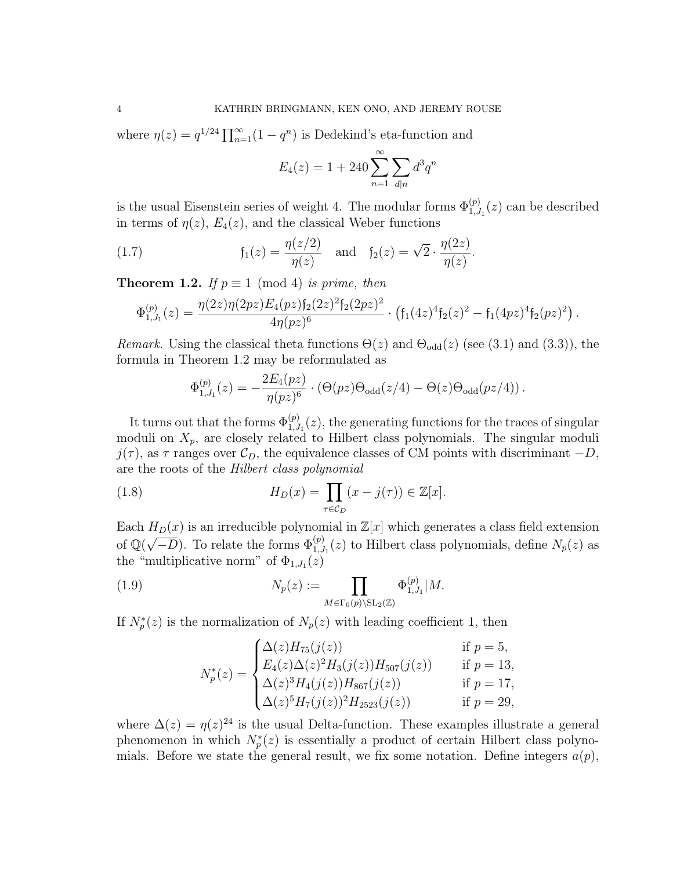where  $\eta(z) = q^{1/24} \prod_{n=1}^{\infty} (1 - q^n)$  is Dedekind's eta-function and

$$
E_4(z) = 1 + 240 \sum_{n=1}^{\infty} \sum_{d|n} d^3 q^n
$$

is the usual Eisenstein series of weight 4. The modular forms  $\Phi_{1,J_1}^{(p)}(z)$  can be described in terms of  $\eta(z)$ ,  $E_4(z)$ , and the classical Weber functions

(1.7) 
$$
f_1(z) = \frac{\eta(z/2)}{\eta(z)}
$$
 and  $f_2(z) = \sqrt{2} \cdot \frac{\eta(2z)}{\eta(z)}$ .

**Theorem 1.2.** If  $p \equiv 1 \pmod{4}$  is prime, then

$$
\Phi_{1,J_1}^{(p)}(z) = \frac{\eta(2z)\eta(2pz)E_4(pz)f_2(2z)^2f_2(2pz)^2}{4\eta(pz)^6} \cdot \left(f_1(4z)^4f_2(z)^2 - f_1(4pz)^4f_2(pz)^2\right).
$$

Remark. Using the classical theta functions  $\Theta(z)$  and  $\Theta_{\text{odd}}(z)$  (see (3.1) and (3.3)), the formula in Theorem 1.2 may be reformulated as

$$
\Phi_{1,J_1}^{(p)}(z) = -\frac{2E_4(pz)}{\eta(pz)^6} \cdot (\Theta(pz)\Theta_{\text{odd}}(z/4) - \Theta(z)\Theta_{\text{odd}}(pz/4)).
$$

It turns out that the forms  $\Phi_{1,J_1}^{(p)}(z)$ , the generating functions for the traces of singular moduli on  $X_p$ , are closely related to Hilbert class polynomials. The singular moduli  $j(\tau)$ , as  $\tau$  ranges over  $\mathcal{C}_D$ , the equivalence classes of CM points with discriminant  $-D$ , are the roots of the Hilbert class polynomial

(1.8) 
$$
H_D(x) = \prod_{\tau \in \mathcal{C}_D} (x - j(\tau)) \in \mathbb{Z}[x].
$$

Each  $H_D(x)$  is an irreducible polynomial in  $\mathbb{Z}[x]$  which generates a class field extension Leach  $H_D(x)$  is an irreductive polynomial in  $\mathbb{Z}[x]$  which generates a class neld extension of  $\mathbb{Q}(\sqrt{-D})$ . To relate the forms  $\Phi_{1,J_1}^{(p)}(z)$  to Hilbert class polynomials, define  $N_p(z)$  as the "multiplicative norm" of  $\Phi_{1,J_1}(z)$ 

(1.9) 
$$
N_p(z) := \prod_{M \in \Gamma_0(p) \backslash \mathrm{SL}_2(\mathbb{Z})} \Phi_{1,J_1}^{(p)} | M.
$$

If  $N_p^*(z)$  is the normalization of  $N_p(z)$  with leading coefficient 1, then

$$
N_p^*(z) = \begin{cases} \Delta(z)H_{75}(j(z)) & \text{if } p = 5, \\ E_4(z)\Delta(z)^2H_3(j(z))H_{507}(j(z)) & \text{if } p = 13, \\ \Delta(z)^3H_4(j(z))H_{867}(j(z)) & \text{if } p = 17, \\ \Delta(z)^5H_7(j(z))^2H_{2523}(j(z)) & \text{if } p = 29, \end{cases}
$$

where  $\Delta(z) = \eta(z)^{24}$  is the usual Delta-function. These examples illustrate a general phenomenon in which  $N_p^*(z)$  is essentially a product of certain Hilbert class polynomials. Before we state the general result, we fix some notation. Define integers  $a(p)$ ,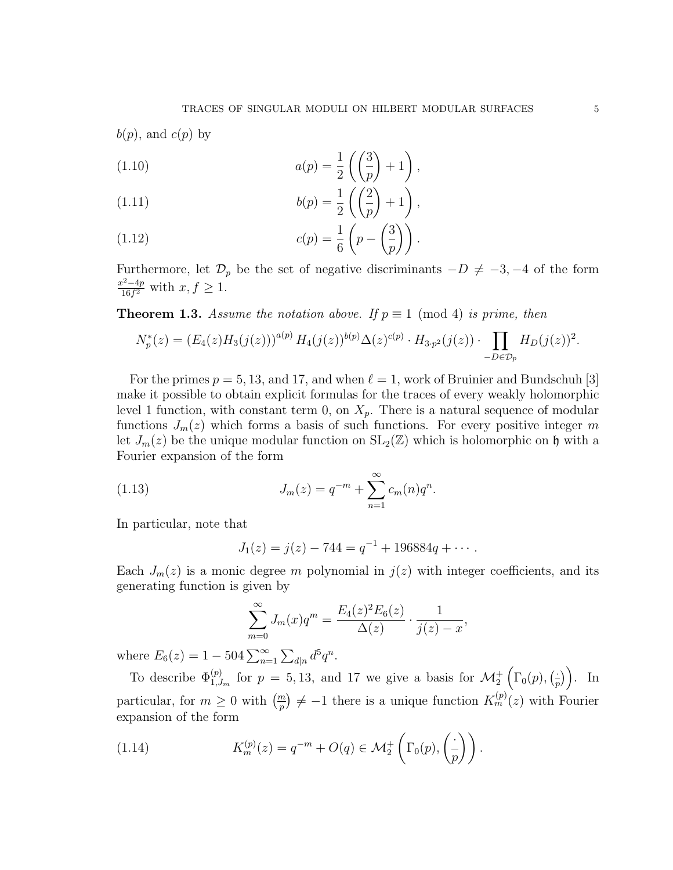$$
b(p)
$$
, and  $c(p)$  by  
(1.10) 
$$
a(p) = \frac{1}{2} \left( \frac{3}{p} + 1 \right),
$$

(1.11) 
$$
b(p) = \frac{1}{2} \left( \left( \frac{2}{p} \right) + 1 \right),
$$

(1.12) 
$$
c(p) = \frac{1}{6} \left( p - \left( \frac{3}{p} \right) \right).
$$

Furthermore, let  $\mathcal{D}_p$  be the set of negative discriminants  $-D \neq -3, -4$  of the form  $x^2-4p$  $\frac{x^2-4p}{16f^2}$  with  $x, f \geq 1$ .

**Theorem 1.3.** Assume the notation above. If  $p \equiv 1 \pmod{4}$  is prime, then

$$
N_p^*(z) = (E_4(z)H_3(j(z)))^{a(p)} H_4(j(z))^{b(p)} \Delta(z)^{c(p)} \cdot H_{3\cdot p^2}(j(z)) \cdot \prod_{-D \in \mathcal{D}_p} H_D(j(z))^2.
$$

For the primes  $p = 5, 13,$  and 17, and when  $\ell = 1$ , work of Bruinier and Bundschuh [3] make it possible to obtain explicit formulas for the traces of every weakly holomorphic level 1 function, with constant term 0, on  $X_p$ . There is a natural sequence of modular functions  $J_m(z)$  which forms a basis of such functions. For every positive integer m let  $J_m(z)$  be the unique modular function on  $SL_2(\mathbb{Z})$  which is holomorphic on h with a Fourier expansion of the form

(1.13) 
$$
J_m(z) = q^{-m} + \sum_{n=1}^{\infty} c_m(n) q^n.
$$

In particular, note that

$$
J_1(z) = j(z) - 744 = q^{-1} + 196884q + \cdots
$$

Each  $J_m(z)$  is a monic degree m polynomial in  $j(z)$  with integer coefficients, and its generating function is given by

$$
\sum_{m=0}^{\infty} J_m(x)q^m = \frac{E_4(z)^2 E_6(z)}{\Delta(z)} \cdot \frac{1}{j(z) - x},
$$

where  $E_6(z) = 1 - 504 \sum_{n=1}^{\infty} \sum_{d|n} d^5 q^n$ .

To describe  $\Phi_{1,J_m}^{(p)}$  for  $p=5,13$ , and 17 we give a basis for  $\mathcal{M}_2^+\left(\Gamma_0(p),\left(\frac{p}{p}\right)\right)$  $(\frac{1}{p})$ . In particular, for  $m \geq 0$  with  $\left(\frac{m}{p}\right) \neq -1$  there is a unique function  $K_m^{(p)}(z)$  with Fourier expansion of the form

(1.14) 
$$
K_m^{(p)}(z) = q^{-m} + O(q) \in \mathcal{M}_2^+ \left( \Gamma_0(p), \left( \frac{\cdot}{p} \right) \right).
$$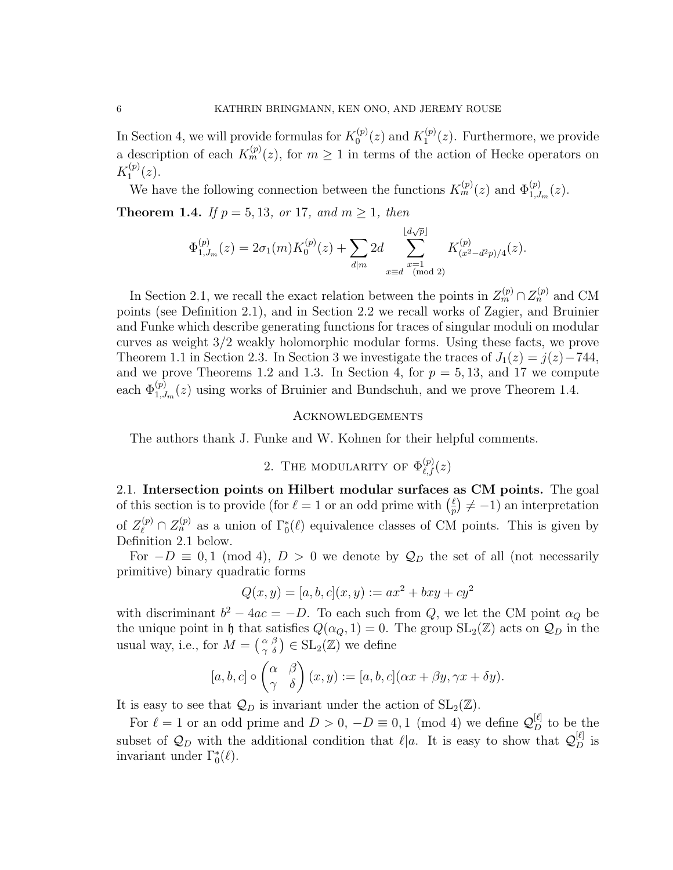In Section 4, we will provide formulas for  $K_0^{(p)}$  $f_0^{(p)}(z)$  and  $K_1^{(p)}$  $1^{(p)}(z)$ . Furthermore, we provide a description of each  $K_m^{(p)}(z)$ , for  $m \geq 1$  in terms of the action of Hecke operators on  $K_1^{(p)}$  $1^{(p)}(z).$ 

We have the following connection between the functions  $K_m^{(p)}(z)$  and  $\Phi_{1,J_m}^{(p)}(z)$ . **Theorem 1.4.** If  $p = 5, 13, or 17, and m > 1, then$ 

$$
\Phi^{(p)}(z) = 2\sigma_1(m)K^{(p)}(z) + \sum 2d \sum |d\sqrt{p}|
$$

$$
\Phi_{1,J_m}^{(p)}(z) = 2\sigma_1(m)K_0^{(p)}(z) + \sum_{d|m} 2d \sum_{\substack{x=1 \text{ (mod 2) }}} K_{(x^2-d^2p)/4}^{(p)}(z).
$$

In Section 2.1, we recall the exact relation between the points in  $Z_m^{(p)} \cap Z_n^{(p)}$  and CM points (see Definition 2.1), and in Section 2.2 we recall works of Zagier, and Bruinier and Funke which describe generating functions for traces of singular moduli on modular curves as weight 3/2 weakly holomorphic modular forms. Using these facts, we prove Theorem 1.1 in Section 2.3. In Section 3 we investigate the traces of  $J_1(z) = j(z) - 744$ , and we prove Theorems 1.2 and 1.3. In Section 4, for  $p = 5, 13$ , and 17 we compute each  $\Phi_{1,J_m}^{(p)}(z)$  using works of Bruinier and Bundschuh, and we prove Theorem 1.4.

### Acknowledgements

The authors thank J. Funke and W. Kohnen for their helpful comments.

# 2. THE MODULARITY OF  $\Phi_{\ell,f}^{(p)}(z)$

2.1. Intersection points on Hilbert modular surfaces as CM points. The goal of this section is to provide (for  $\ell = 1$  or an odd prime with  $\left(\frac{\ell}{n}\right)$  $\frac{\ell}{p}$   $\neq -1$  an interpretation of  $Z_{\ell}^{(p)} \cap Z_{n}^{(p)}$  as a union of  $\Gamma_{0}^{*}(\ell)$  equivalence classes of CM points. This is given by Definition 2.1 below.

For  $-D \equiv 0, 1 \pmod{4}$ ,  $D > 0$  we denote by  $\mathcal{Q}_D$  the set of all (not necessarily primitive) binary quadratic forms

$$
Q(x, y) = [a, b, c](x, y) := ax^{2} + bxy + cy^{2}
$$

with discriminant  $b^2 - 4ac = -D$ . To each such from Q, we let the CM point  $\alpha_Q$  be the unique point in h that satisfies  $Q(\alpha_Q, 1) = 0$ . The group  $SL_2(\mathbb{Z})$  acts on  $\mathcal{Q}_D$  in the usual way, i.e., for  $M = \begin{pmatrix} \alpha & \beta \\ \gamma & \delta \end{pmatrix} \in SL_2(\mathbb{Z})$  we define

$$
[a, b, c] \circ \begin{pmatrix} \alpha & \beta \\ \gamma & \delta \end{pmatrix} (x, y) := [a, b, c] (\alpha x + \beta y, \gamma x + \delta y).
$$

It is easy to see that  $\mathcal{Q}_D$  is invariant under the action of  $SL_2(\mathbb{Z})$ .

For  $\ell = 1$  or an odd prime and  $D > 0$ ,  $-D \equiv 0, 1 \pmod{4}$  we define  $\mathcal{Q}_{D}^{[\ell]}$  to be the subset of  $\mathcal{Q}_D$  with the additional condition that  $\ell |a$ . It is easy to show that  $\mathcal{Q}_D^{[\ell]}$  is invariant under  $\Gamma_0^*(\ell)$ .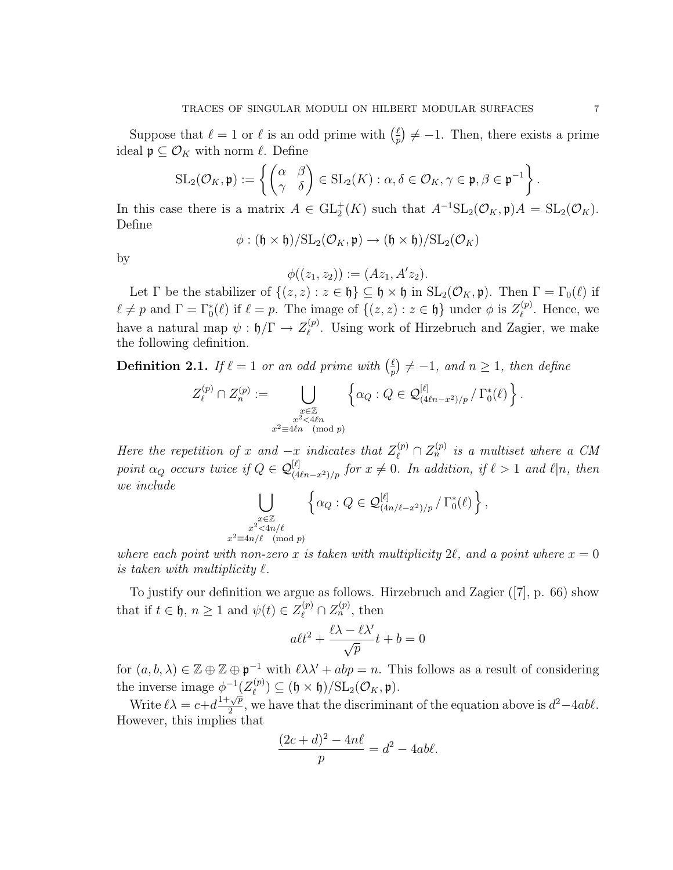$$
SL_2(\mathcal{O}_K, \mathfrak{p}) := \left\{ \begin{pmatrix} \alpha & \beta \\ \gamma & \delta \end{pmatrix} \in SL_2(K) : \alpha, \delta \in \mathcal{O}_K, \gamma \in \mathfrak{p}, \beta \in \mathfrak{p}^{-1} \right\}
$$

In this case there is a matrix  $A \in GL_2^+(K)$  such that  $A^{-1}SL_2(\mathcal{O}_K, \mathfrak{p})A = SL_2(\mathcal{O}_K)$ . Define

$$
\phi: (\mathfrak{h} \times \mathfrak{h}) / \mathrm{SL}_2(\mathcal{O}_K, \mathfrak{p}) \to (\mathfrak{h} \times \mathfrak{h}) / \mathrm{SL}_2(\mathcal{O}_K)
$$

by

$$
\phi((z_1, z_2)) := (Az_1, A'z_2).
$$

Let  $\Gamma$  be the stabilizer of  $\{(z, z) : z \in \mathfrak{h}\}\subseteq \mathfrak{h} \times \mathfrak{h}$  in  $\mathrm{SL}_2(\mathcal{O}_K, \mathfrak{p})$ . Then  $\Gamma = \Gamma_0(\ell)$  if  $\ell \neq p$  and  $\Gamma = \Gamma_0^*(\ell)$  if  $\ell = p$ . The image of  $\{(z, z) : z \in \mathfrak{h}\}\$  under  $\phi$  is  $Z_{\ell}^{(p)}$  $\ell^{(p)}$ . Hence, we have a natural map  $\psi: \mathfrak{h}/\Gamma \to Z_{\ell}^{(p)}$  $\ell$ <sup>(p)</sup>. Using work of Hirzebruch and Zagier, we make the following definition.

**Definition 2.1.** If  $\ell = 1$  or an odd prime with  $\left(\frac{\ell}{n}\right)$  $\frac{\ell}{p}$   $\neq -1$ , and  $n \geq 1$ , then define

$$
Z_{\ell}^{(p)} \cap Z_n^{(p)} := \bigcup_{\substack{x \in \mathbb{Z} \\ x^2 \le 4\ell n \\ x^2 \equiv 4\ell n \pmod{p}}} \left\{ \alpha_Q : Q \in \mathcal{Q}_{(4\ell n - x^2)/p}^{[\ell]} / \Gamma_0^*(\ell) \right\}.
$$

Here the repetition of x and  $-x$  indicates that  $Z_{\ell}^{(p)} \cap Z_{n}^{(p)}$  is a multiset where a CM point  $\alpha_Q$  occurs twice if  $Q \in \mathcal{Q}_{(4\ell n-x^2)/p}^{[\ell]}$  for  $x \neq 0$ . In addition, if  $\ell > 1$  and  $\ell | n$ , then we include

$$
\bigcup_{\substack{x \in \mathbb{Z} \\ x^2 \le 4n/\ell \\ 2 \equiv 4n/\ell \pmod{p}}} \left\{ \alpha_Q : Q \in \mathcal{Q}_{(4n/\ell - x^2)/p}^{[\ell]} / \Gamma_0^*(\ell) \right\},
$$

where each point with non-zero x is taken with multiplicity 2 $\ell$ , and a point where  $x = 0$ is taken with multiplicity  $\ell$ .

x

To justify our definition we argue as follows. Hirzebruch and Zagier ([7], p. 66) show that if  $t \in \mathfrak{h}$ ,  $n \geq 1$  and  $\psi(t) \in Z_{\ell}^{(p)} \cap Z_n^{(p)}$ , then

$$
a\ell t^2 + \frac{\ell\lambda - \ell\lambda'}{\sqrt{p}}t + b = 0
$$

for  $(a, b, \lambda) \in \mathbb{Z} \oplus \mathbb{Z} \oplus \mathfrak{p}^{-1}$  with  $\ell \lambda \lambda' + abp = n$ . This follows as a result of considering the inverse image  $\phi^{-1}(Z_{\ell}^{(p)})$  $\mathcal{O}_{\ell}^{(p)} \subseteq (\mathfrak{h} \times \mathfrak{h})/\mathrm{SL}_2(\mathcal{O}_K, \mathfrak{p}).$ 

Write  $\ell \lambda = c + d \frac{1 + \sqrt{p}}{2}$  $\frac{d^2y}{2}$ , we have that the discriminant of the equation above is  $d^2-4ab\ell$ . However, this implies that

$$
\frac{(2c+d)^2 - 4n\ell}{p} = d^2 - 4ab\ell.
$$

.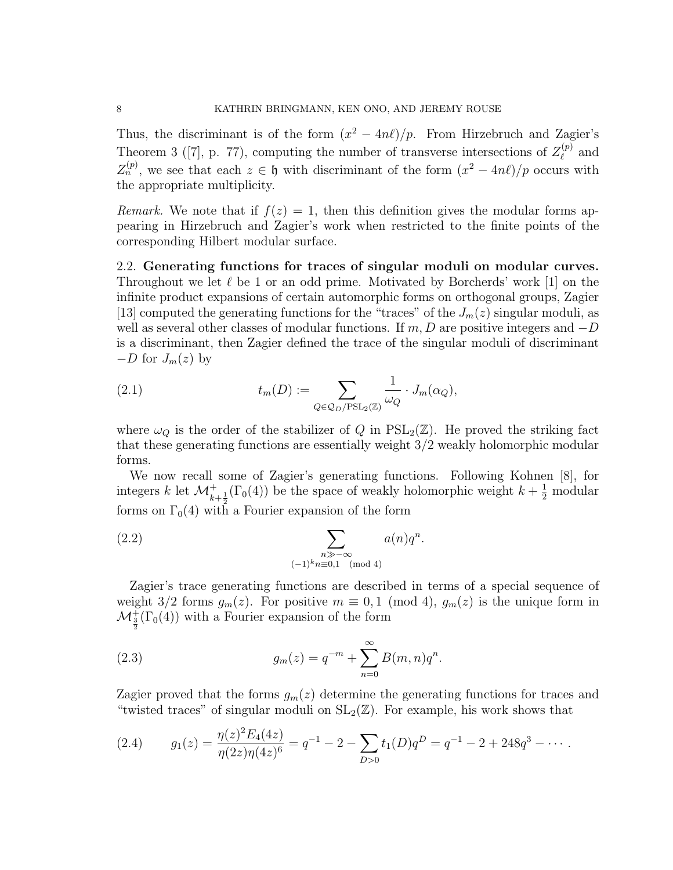Thus, the discriminant is of the form  $(x^2 - 4n\ell)/p$ . From Hirzebruch and Zagier's Theorem 3 ([7], p. 77), computing the number of transverse intersections of  $Z_{\ell}^{(p)}$  $\ell^{(p)}$  and  $Z_n^{(p)}$ , we see that each  $z \in \mathfrak{h}$  with discriminant of the form  $(x^2 - 4n\ell)/p$  occurs with the appropriate multiplicity.

Remark. We note that if  $f(z) = 1$ , then this definition gives the modular forms appearing in Hirzebruch and Zagier's work when restricted to the finite points of the corresponding Hilbert modular surface.

2.2. Generating functions for traces of singular moduli on modular curves. Throughout we let  $\ell$  be 1 or an odd prime. Motivated by Borcherds' work [1] on the infinite product expansions of certain automorphic forms on orthogonal groups, Zagier [13] computed the generating functions for the "traces" of the  $J_m(z)$  singular moduli, as well as several other classes of modular functions. If  $m, D$  are positive integers and  $-D$ is a discriminant, then Zagier defined the trace of the singular moduli of discriminant  $-D$  for  $J_m(z)$  by

(2.1) 
$$
t_m(D) := \sum_{Q \in \mathcal{Q}_D/\mathrm{PSL}_2(\mathbb{Z})} \frac{1}{\omega_Q} \cdot J_m(\alpha_Q),
$$

where  $\omega_{\mathcal{O}}$  is the order of the stabilizer of Q in  $PSL_2(\mathbb{Z})$ . He proved the striking fact that these generating functions are essentially weight 3/2 weakly holomorphic modular forms.

We now recall some of Zagier's generating functions. Following Kohnen [8], for integers k let  $\mathcal{M}^+_{k+\frac{1}{2}}(\Gamma_0(4))$  be the space of weakly holomorphic weight  $k+\frac{1}{2}$  modular forms on  $\Gamma_0(4)$  with a Fourier expansion of the form

(2.2) 
$$
\sum_{\substack{n \gg -\infty \\ (-1)^k n \equiv 0,1 \pmod{4}}} a(n)q^n.
$$

Zagier's trace generating functions are described in terms of a special sequence of weight 3/2 forms  $g_m(z)$ . For positive  $m \equiv 0, 1 \pmod{4}$ ,  $g_m(z)$  is the unique form in  $\mathcal{M}^+_{\frac{3}{2}}(\Gamma_0(4))$  with a Fourier expansion of the form

(2.3) 
$$
g_m(z) = q^{-m} + \sum_{n=0}^{\infty} B(m, n)q^n.
$$

Zagier proved that the forms  $g_m(z)$  determine the generating functions for traces and "twisted traces" of singular moduli on  $SL_2(\mathbb{Z})$ . For example, his work shows that

(2.4) 
$$
g_1(z) = \frac{\eta(z)^2 E_4(4z)}{\eta(2z)\eta(4z)^6} = q^{-1} - 2 - \sum_{D>0} t_1(D)q^D = q^{-1} - 2 + 248q^3 - \cdots
$$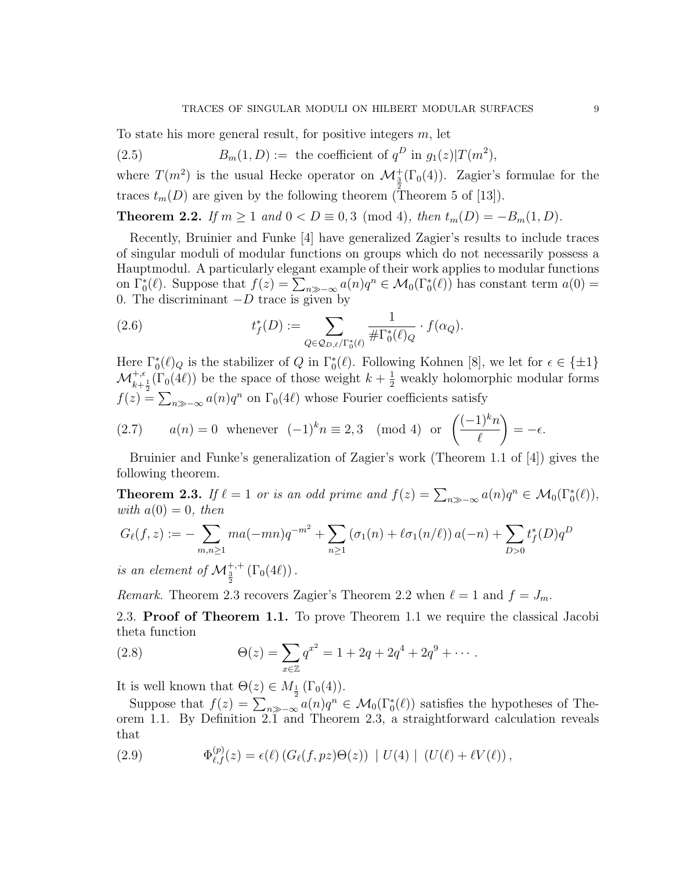To state his more general result, for positive integers  $m$ , let

(2.5) 
$$
B_m(1, D) := \text{ the coefficient of } q^D \text{ in } g_1(z) | T(m^2),
$$

where  $T(m^2)$  is the usual Hecke operator on  $\mathcal{M}_{3}^{+}(\Gamma_0(4))$ . Zagier's formulae for the traces  $t_m(D)$  are given by the following theorem (Theorem 5 of [13]).

**Theorem 2.2.** *If*  $m \ge 1$  *and*  $0 < D \equiv 0, 3 \pmod{4}$ , *then*  $t_m(D) = -B_m(1, D)$ .

Recently, Bruinier and Funke [4] have generalized Zagier's results to include traces of singular moduli of modular functions on groups which do not necessarily possess a Hauptmodul. A particularly elegant example of their work applies to modular functions on  $\Gamma_0^*(\ell)$ . Suppose that  $f(z) = \sum_{n \gg -\infty} a(n)q^n \in \mathcal{M}_0(\Gamma_0^*(\ell))$  has constant term  $a(0) =$ 0. The discriminant  $-D$  trace is given by

(2.6) 
$$
t_f^*(D) := \sum_{Q \in \mathcal{Q}_{D,\ell}/\Gamma_0^*(\ell)} \frac{1}{\# \Gamma_0^*(\ell)_Q} \cdot f(\alpha_Q).
$$

Here  $\Gamma_0^*(\ell)_Q$  is the stabilizer of Q in  $\Gamma_0^*(\ell)$ . Following Kohnen [8], we let for  $\epsilon \in {\pm 1}$ }  $\mathcal{M}_{k+\frac{1}{2}}^{+,\epsilon}(\Gamma_0(4\ell))$  be the space of those weight  $k+\frac{1}{2}$  weakly holomorphic modular forms  $f(z) = \sum_{n \gg -\infty} a(n)q^n$  on  $\Gamma_0(4\ell)$  whose Fourier coefficients satisfy

(2.7) 
$$
a(n) = 0 \text{ whenever } (-1)^k n \equiv 2, 3 \pmod{4} \text{ or } \left(\frac{(-1)^k n}{\ell}\right) = -\epsilon.
$$

Bruinier and Funke's generalization of Zagier's work (Theorem 1.1 of [4]) gives the following theorem.

**Theorem 2.3.** If  $\ell = 1$  or is an odd prime and  $f(z) = \sum_{n \gg -\infty} a(n)q^n \in \mathcal{M}_0(\Gamma_0^*(\ell)),$ with  $a(0) = 0$ , then

$$
G_{\ell}(f, z) := -\sum_{m,n \geq 1} ma(-mn)q^{-m^2} + \sum_{n \geq 1} (\sigma_1(n) + \ell \sigma_1(n/\ell)) a(-n) + \sum_{D > 0} t_f^*(D)q^D
$$

is an element of  $\mathcal{M}_{\frac{3}{2}}^{+,+}(\Gamma_0(4\ell))$ .

Remark. Theorem 2.3 recovers Zagier's Theorem 2.2 when  $\ell = 1$  and  $f = J_m$ .

2.3. Proof of Theorem 1.1. To prove Theorem 1.1 we require the classical Jacobi theta function

(2.8) 
$$
\Theta(z) = \sum_{x \in \mathbb{Z}} q^{x^2} = 1 + 2q + 2q^4 + 2q^9 + \cdots
$$

It is well known that  $\Theta(z) \in M_{\frac{1}{2}}(\Gamma_0(4)).$ 

Suppose that  $f(z) = \sum_{n \gg -\infty} a(n)q^n \in \mathcal{M}_0(\Gamma_0^*(\ell))$  satisfies the hypotheses of Theorem 1.1. By Definition 2.1 and Theorem 2.3, a straightforward calculation reveals that

(2.9) 
$$
\Phi_{\ell,f}^{(p)}(z) = \epsilon(\ell) \left( G_{\ell}(f,pz) \Theta(z) \right) \mid U(4) \mid (U(\ell) + \ell V(\ell)),
$$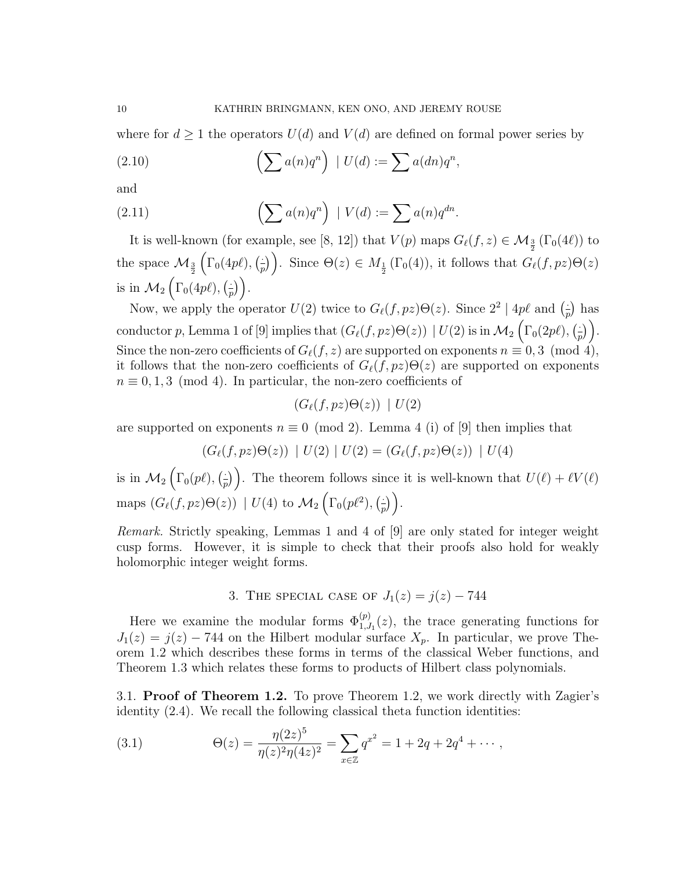where for  $d \geq 1$  the operators  $U(d)$  and  $V(d)$  are defined on formal power series by

(2.10) 
$$
\left(\sum a(n)q^n\right) \mid U(d) := \sum a(dn)q^n,
$$

and

(2.11) 
$$
\left(\sum a(n)q^n\right) \mid V(d) := \sum a(n)q^{dn}.
$$

It is well-known (for example, see [8, 12]) that  $V(p)$  maps  $G_{\ell}(f, z) \in \mathcal{M}_{\frac{3}{2}}(\Gamma_0(4\ell))$  to the space  $\mathcal{M}_{\frac{3}{2}}$  $\Big(\Gamma_0(4p\ell),\Big(\frac{1}{n}\Big)$  $\left(\frac{1}{p}\right)$ . Since  $\Theta(z) \in M_{\frac{1}{2}}(\Gamma_0(4))$ , it follows that  $G_{\ell}(f, pz)\Theta(z)$ is in  $\mathcal{M}_2\left(\Gamma_0(4p\ell),\binom{2}{r}\right)$  $\frac{1}{p}\Big)\bigg).$ 

Now, we apply the operator  $U(2)$  twice to  $G_{\ell}(f, pz) \Theta(z)$ . Since  $2^2 | 4p\ell$  and  $\left(\frac{1}{n}\right)$  $\frac{1}{p}$ ) has conductor p, Lemma 1 of [9] implies that  $(G_{\ell}(f, pz) \Theta(z)) | U(2)$  is in  $\mathcal{M}_2 \left( \Gamma_0(2p\ell), \left( \frac{1}{r} \Theta(z) \right) \right)$  $\frac{1}{p}\Big)\Big).$ Since the non-zero coefficients of  $G_{\ell}(f, z)$  are supported on exponents  $n \equiv 0, 3 \pmod{4}$ , it follows that the non-zero coefficients of  $G_{\ell}(f, pz) \Theta(z)$  are supported on exponents  $n \equiv 0, 1, 3 \pmod{4}$ . In particular, the non-zero coefficients of

$$
(G_{\ell}(f,pz)\Theta(z)) | U(2)
$$

are supported on exponents  $n \equiv 0 \pmod{2}$ . Lemma 4 (i) of [9] then implies that

$$
(G_{\ell}(f,pz)\Theta(z)) | U(2) | U(2) = (G_{\ell}(f,pz)\Theta(z)) | U(4)
$$

is in  $\mathcal{M}_2\left(\Gamma_0(p\ell),\right)\frac{1}{n}$  $\frac{1}{p}$ ). The theorem follows since it is well-known that  $U(\ell) + \ell V(\ell)$ maps  $(G_{\ell}(f, pz) \Theta(z)) | U(4)$  to  $\mathcal{M}_2(\Gamma_0(p\ell^2), \frac{\epsilon}{k})$  $\frac{1}{p})$ .

Remark. Strictly speaking, Lemmas 1 and 4 of [9] are only stated for integer weight cusp forms. However, it is simple to check that their proofs also hold for weakly holomorphic integer weight forms.

3. THE SPECIAL CASE OF  $J_1(z) = j(z) - 744$ 

Here we examine the modular forms  $\Phi_{1,J_1}^{(p)}(z)$ , the trace generating functions for  $J_1(z) = j(z) - 744$  on the Hilbert modular surface  $X_p$ . In particular, we prove Theorem 1.2 which describes these forms in terms of the classical Weber functions, and Theorem 1.3 which relates these forms to products of Hilbert class polynomials.

3.1. Proof of Theorem 1.2. To prove Theorem 1.2, we work directly with Zagier's identity (2.4). We recall the following classical theta function identities:

(3.1) 
$$
\Theta(z) = \frac{\eta(2z)^5}{\eta(z)^2 \eta(4z)^2} = \sum_{x \in \mathbb{Z}} q^{x^2} = 1 + 2q + 2q^4 + \cdots,
$$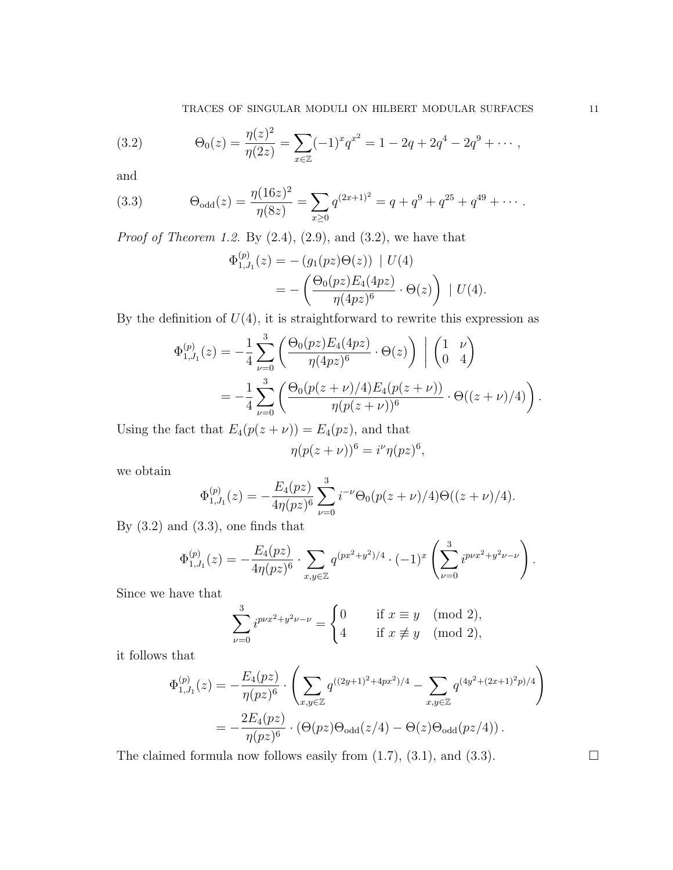(3.2) 
$$
\Theta_0(z) = \frac{\eta(z)^2}{\eta(2z)} = \sum_{x \in \mathbb{Z}} (-1)^x q^{x^2} = 1 - 2q + 2q^4 - 2q^9 + \cdots,
$$

and

(3.3) 
$$
\Theta_{\text{odd}}(z) = \frac{\eta(16z)^2}{\eta(8z)} = \sum_{x \ge 0} q^{(2x+1)^2} = q + q^9 + q^{25} + q^{49} + \cdots
$$

*Proof of Theorem 1.2.* By  $(2.4)$ ,  $(2.9)$ , and  $(3.2)$ , we have that

$$
\Phi_{1,J_1}^{(p)}(z) = -(g_1(pz)\Theta(z)) | U(4)
$$
  
= 
$$
- \left( \frac{\Theta_0(pz)E_4(4pz)}{\eta(4pz)^6} \cdot \Theta(z) \right) | U(4).
$$

By the definition of  $U(4)$ , it is straightforward to rewrite this expression as

$$
\Phi_{1,J_1}^{(p)}(z) = -\frac{1}{4} \sum_{\nu=0}^3 \left( \frac{\Theta_0(pz) E_4(qpz)}{\eta(qpz)^6} \cdot \Theta(z) \right) \Big| \begin{pmatrix} 1 & \nu \\ 0 & 4 \end{pmatrix}
$$
  
= 
$$
-\frac{1}{4} \sum_{\nu=0}^3 \left( \frac{\Theta_0(p(z+\nu)/4) E_4(p(z+\nu))}{\eta(p(z+\nu))^6} \cdot \Theta((z+\nu)/4) \right).
$$

Using the fact that  $E_4(p(z + \nu)) = E_4(pz)$ , and that

$$
\eta(p(z+\nu))^6 = i^{\nu} \eta(pz)^6,
$$

we obtain

$$
\Phi_{1,J_1}^{(p)}(z) = -\frac{E_4(pz)}{4\eta(pz)^6} \sum_{\nu=0}^3 i^{-\nu} \Theta_0(p(z+\nu)/4) \Theta((z+\nu)/4).
$$

By  $(3.2)$  and  $(3.3)$ , one finds that

$$
\Phi_{1,J_1}^{(p)}(z) = -\frac{E_4(pz)}{4\eta(pz)^6} \cdot \sum_{x,y \in \mathbb{Z}} q^{(px^2+y^2)/4} \cdot (-1)^x \left( \sum_{\nu=0}^3 i^{p\nu x^2+y^2\nu-\nu} \right).
$$

Since we have that

$$
\sum_{\nu=0}^{3} i^{p\nu x^2 + y^2 \nu - \nu} = \begin{cases} 0 & \text{if } x \equiv y \pmod{2}, \\ 4 & \text{if } x \not\equiv y \pmod{2}, \end{cases}
$$

it follows that

$$
\Phi_{1,J_1}^{(p)}(z) = -\frac{E_4(pz)}{\eta(pz)^6} \cdot \left( \sum_{x,y \in \mathbb{Z}} q^{((2y+1)^2 + 4px^2)/4} - \sum_{x,y \in \mathbb{Z}} q^{(4y^2 + (2x+1)^2p)/4} \right)
$$
  
= 
$$
-\frac{2E_4(pz)}{\eta(pz)^6} \cdot (\Theta(pz)\Theta_{\text{odd}}(z/4) - \Theta(z)\Theta_{\text{odd}}(pz/4)).
$$

The claimed formula now follows easily from  $(1.7)$ ,  $(3.1)$ , and  $(3.3)$ .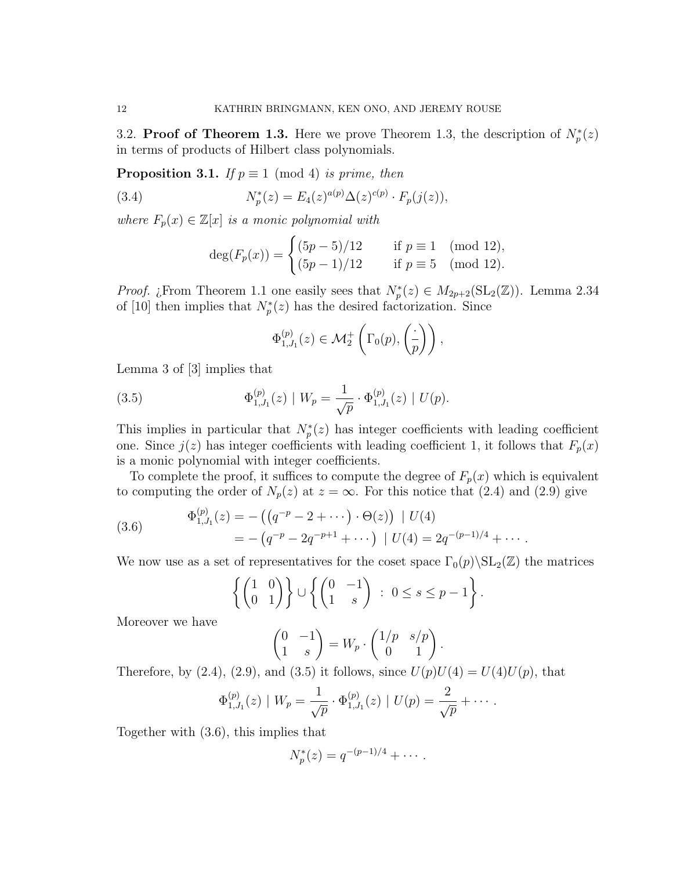3.2. Proof of Theorem 1.3. Here we prove Theorem 1.3, the description of  $N_p^*(z)$ in terms of products of Hilbert class polynomials.

**Proposition 3.1.** If  $p \equiv 1 \pmod{4}$  is prime, then

(3.4) 
$$
N_p^*(z) = E_4(z)^{a(p)} \Delta(z)^{c(p)} \cdot F_p(j(z)),
$$

where  $F_p(x) \in \mathbb{Z}[x]$  is a monic polynomial with

$$
\deg(F_p(x)) = \begin{cases} (5p - 5)/12 & \text{if } p \equiv 1 \pmod{12}, \\ (5p - 1)/12 & \text{if } p \equiv 5 \pmod{12}. \end{cases}
$$

*Proof.* ¿From Theorem 1.1 one easily sees that  $N_p^*(z) \in M_{2p+2}(\mathrm{SL}_2(\mathbb{Z}))$ . Lemma 2.34 of [10] then implies that  $N_p^*(z)$  has the desired factorization. Since

$$
\Phi_{1,J_1}^{(p)}(z) \in \mathcal{M}_2^+ \left( \Gamma_0(p), \left( \frac{\cdot}{p} \right) \right),
$$

Lemma 3 of [3] implies that

(3.5) 
$$
\Phi_{1,J_1}^{(p)}(z) \mid W_p = \frac{1}{\sqrt{p}} \cdot \Phi_{1,J_1}^{(p)}(z) \mid U(p).
$$

This implies in particular that  $N_p^*(z)$  has integer coefficients with leading coefficient one. Since  $j(z)$  has integer coefficients with leading coefficient 1, it follows that  $F_p(x)$ is a monic polynomial with integer coefficients.

To complete the proof, it suffices to compute the degree of  $F_p(x)$  which is equivalent to computing the order of  $N_p(z)$  at  $z = \infty$ . For this notice that (2.4) and (2.9) give

(3.6) 
$$
\Phi_{1,J_1}^{(p)}(z) = -((q^{-p} - 2 + \cdots) \cdot \Theta(z)) | U(4)
$$

$$
= -(q^{-p} - 2q^{-p+1} + \cdots) | U(4) = 2q^{-(p-1)/4} + \cdots.
$$

We now use as a set of representatives for the coset space  $\Gamma_0(p)\backslash SL_2(\mathbb{Z})$  the matrices

$$
\left\{ \begin{pmatrix} 1 & 0 \\ 0 & 1 \end{pmatrix} \right\} \cup \left\{ \begin{pmatrix} 0 & -1 \\ 1 & s \end{pmatrix} : 0 \le s \le p - 1 \right\}.
$$

Moreover we have

$$
\begin{pmatrix} 0 & -1 \ 1 & s \end{pmatrix} = W_p \cdot \begin{pmatrix} 1/p & s/p \\ 0 & 1 \end{pmatrix}.
$$

Therefore, by (2.4), (2.9), and (3.5) it follows, since  $U(p)U(4) = U(4)U(p)$ , that

$$
\Phi_{1,J_1}^{(p)}(z) \mid W_p = \frac{1}{\sqrt{p}} \cdot \Phi_{1,J_1}^{(p)}(z) \mid U(p) = \frac{2}{\sqrt{p}} + \cdots
$$

Together with (3.6), this implies that

$$
N_p^*(z) = q^{-(p-1)/4} + \cdots.
$$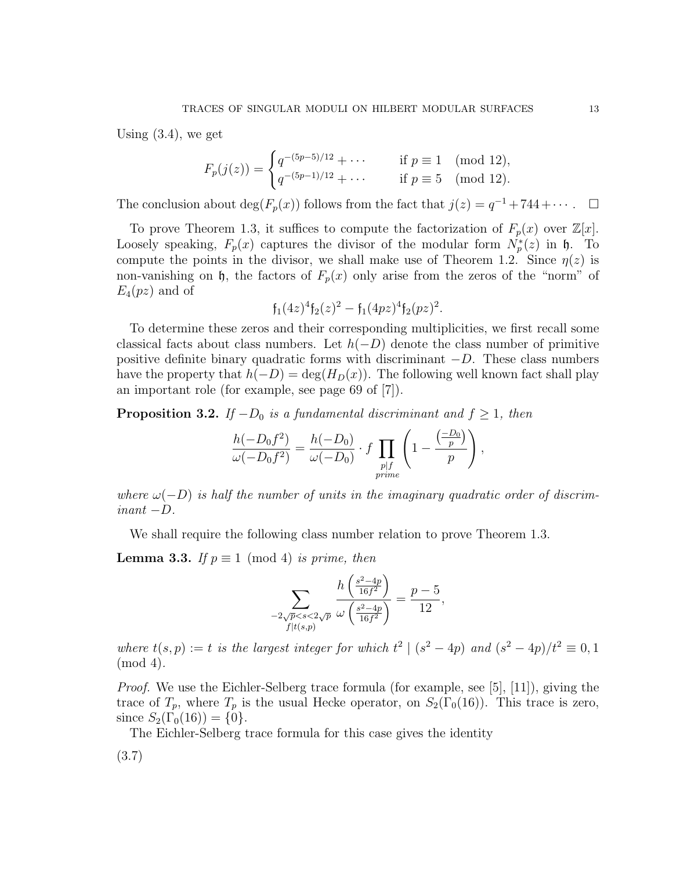Using (3.4), we get

$$
F_p(j(z)) = \begin{cases} q^{-(5p-5)/12} + \cdots & \text{if } p \equiv 1 \pmod{12}, \\ q^{-(5p-1)/12} + \cdots & \text{if } p \equiv 5 \pmod{12}. \end{cases}
$$

The conclusion about  $\deg(F_p(x))$  follows from the fact that  $j(z) = q^{-1} + 744 + \cdots$ .  $\Box$ 

To prove Theorem 1.3, it suffices to compute the factorization of  $F_p(x)$  over  $\mathbb{Z}[x]$ . Loosely speaking,  $F_p(x)$  captures the divisor of the modular form  $N_p^*(z)$  in  $\mathfrak{h}$ . To compute the points in the divisor, we shall make use of Theorem 1.2. Since  $\eta(z)$  is non-vanishing on h, the factors of  $F_p(x)$  only arise from the zeros of the "norm" of  $E_4(pz)$  and of

$$
\mathfrak{f}_1(4z)^4 \mathfrak{f}_2(z)^2 - \mathfrak{f}_1(4pz)^4 \mathfrak{f}_2(pz)^2.
$$

To determine these zeros and their corresponding multiplicities, we first recall some classical facts about class numbers. Let  $h(-D)$  denote the class number of primitive positive definite binary quadratic forms with discriminant  $-D$ . These class numbers have the property that  $h(-D) = \deg(H_D(x))$ . The following well known fact shall play an important role (for example, see page 69 of [7]).

**Proposition 3.2.** If  $-D_0$  is a fundamental discriminant and  $f \geq 1$ , then

$$
\frac{h(-D_0f^2)}{\omega(-D_0f^2)} = \frac{h(-D_0)}{\omega(-D_0)} \cdot f \prod_{\substack{p \mid f \\ prime}} \left(1 - \frac{\left(\frac{-D_0}{p}\right)}{p}\right),
$$

where  $\omega(-D)$  is half the number of units in the imaginary quadratic order of discrim $inant -D$ .

We shall require the following class number relation to prove Theorem 1.3.

**Lemma 3.3.** If  $p \equiv 1 \pmod{4}$  is prime, then

$$
\sum_{\substack{-2\sqrt{p}
$$

where  $t(s, p) := t$  is the largest integer for which  $t^2 | (s^2 - 4p)$  and  $(s^2 - 4p)/t^2 \equiv 0, 1$ (mod 4).

Proof. We use the Eichler-Selberg trace formula (for example, see [5], [11]), giving the trace of  $T_p$ , where  $T_p$  is the usual Hecke operator, on  $S_2(\Gamma_0(16))$ . This trace is zero, since  $S_2(\Gamma_0(16)) = \{0\}.$ 

The Eichler-Selberg trace formula for this case gives the identity

$$
(3.7)
$$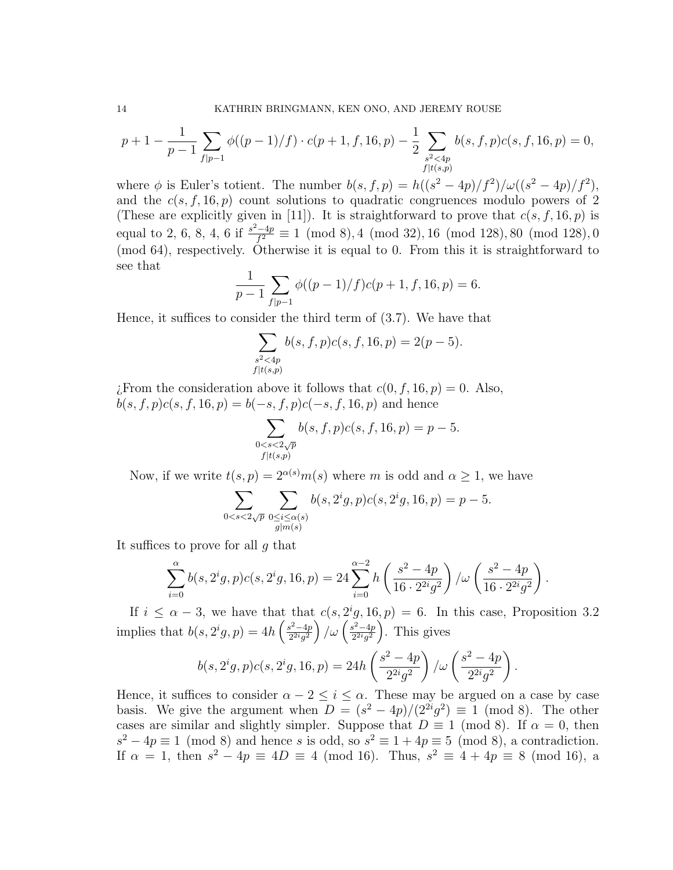$$
p+1-\frac{1}{p-1}\sum_{f|p-1}\phi((p-1)/f)\cdot c(p+1,f,16,p)-\frac{1}{2}\sum_{\substack{s^2<4p\\f|t(s,p)}}b(s,f,p)c(s,f,16,p)=0,
$$

where  $\phi$  is Euler's totient. The number  $b(s, f, p) = h((s^2 - 4p)/f^2)/\omega((s^2 - 4p)/f^2)$ , and the  $c(s, f, 16, p)$  count solutions to quadratic congruences modulo powers of 2 (These are explicitly given in [11]). It is straightforward to prove that  $c(s, f, 16, p)$  is equal to 2, 6, 8, 4, 6 if  $\frac{s^2-4p}{f^2}$  $\frac{(-4p)}{f^2} \equiv 1 \pmod{8}$ , 4 (mod 32), 16 (mod 128), 80 (mod 128), 0 (mod 64), respectively. Otherwise it is equal to 0. From this it is straightforward to see that

$$
\frac{1}{p-1} \sum_{f|p-1} \phi((p-1)/f)c(p+1,f,16,p) = 6.
$$

Hence, it suffices to consider the third term of (3.7). We have that

$$
\sum_{\substack{s^2 < 4p \\ f \mid t(s,p)}} b(s, f, p) c(s, f, 16, p) = 2(p-5).
$$

¿From the consideration above it follows that  $c(0, f, 16, p) = 0$ . Also,  $b(s, f, p)c(s, f, 16, p) = b(-s, f, p)c(-s, f, 16, p)$  and hence

$$
\sum_{\substack{0 < s < 2\sqrt{p} \\ f | t(s, p)}} b(s, f, p) c(s, f, 16, p) = p - 5.
$$

Now, if we write  $t(s, p) = 2^{\alpha(s)}m(s)$  where m is odd and  $\alpha \geq 1$ , we have

$$
\sum_{0
$$

It suffices to prove for all g that

$$
\sum_{i=0}^{\alpha} b(s, 2^{i}g, p)c(s, 2^{i}g, 16, p) = 24 \sum_{i=0}^{\alpha-2} h\left(\frac{s^2 - 4p}{16 \cdot 2^{2i}g^2}\right) / \omega\left(\frac{s^2 - 4p}{16 \cdot 2^{2i}g^2}\right).
$$

If  $i \leq \alpha - 3$ , we have that that  $c(s, 2^i g, 16, p) = 6$ . In this case, Proposition 3.2 implies that  $b(s, 2^ig, p) = 4h \left( \frac{s^2-4p}{2^{2i}a^2} \right)$  $\left(\frac{s^2-4p}{2^{2i}g^2}\right)/\omega\left(\frac{s^2-4p}{2^{2i}g^2}\right)$  $\frac{s^2-4p}{2^{2i}g^2}$ . This gives

$$
b(s, 2^{i}g, p)c(s, 2^{i}g, 16, p) = 24h\left(\frac{s^{2} - 4p}{2^{2i}g^{2}}\right)/\omega\left(\frac{s^{2} - 4p}{2^{2i}g^{2}}\right)
$$

.

Hence, it suffices to consider  $\alpha - 2 \leq i \leq \alpha$ . These may be argued on a case by case basis. We give the argument when  $D = (s^2 - 4p)/(2^{2i}g^2) \equiv 1 \pmod{8}$ . The other cases are similar and slightly simpler. Suppose that  $D \equiv 1 \pmod{8}$ . If  $\alpha = 0$ , then  $s^2 - 4p \equiv 1 \pmod{8}$  and hence s is odd, so  $s^2 \equiv 1 + 4p \equiv 5 \pmod{8}$ , a contradiction. If  $\alpha = 1$ , then  $s^2 - 4p \equiv 4D \equiv 4 \pmod{16}$ . Thus,  $s^2 \equiv 4 + 4p \equiv 8 \pmod{16}$ , a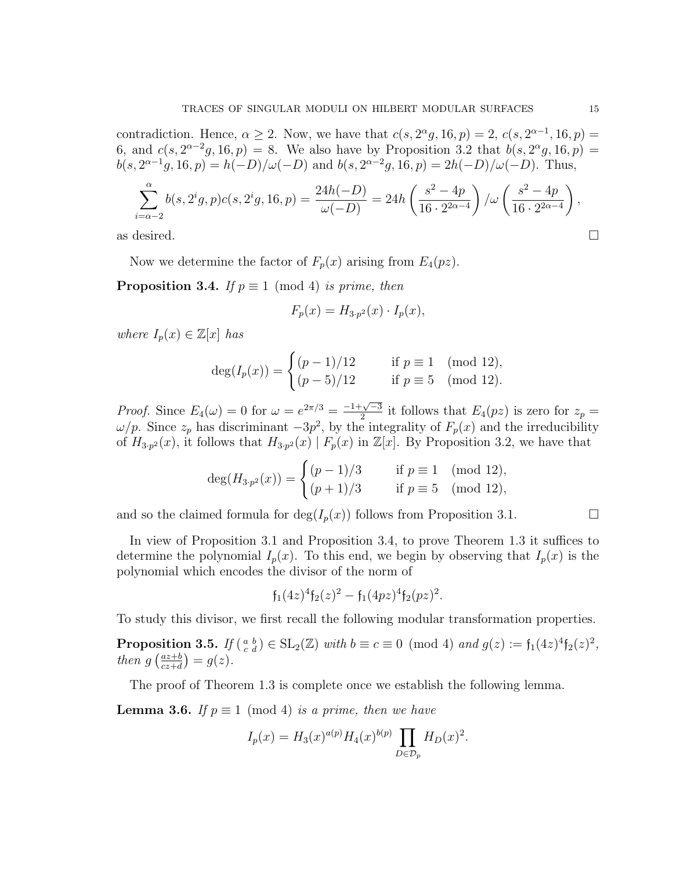contradiction. Hence,  $\alpha \geq 2$ . Now, we have that  $c(s, 2^{\alpha}g, 16, p) = 2$ ,  $c(s, 2^{\alpha-1}, 16, p) =$ 6, and  $c(s, 2^{\alpha-2}g, 16, p) = 8$ . We also have by Proposition 3.2 that  $b(s, 2^{\alpha}g, 16, p) =$  $b(s, 2^{\alpha-1}g, 16, p) = h(-D)/\omega(-D)$  and  $b(s, 2^{\alpha-2}g, 16, p) = 2h(-D)/\omega(-D)$ . Thus,

$$
\sum_{i=\alpha-2}^{\alpha} b(s, 2^i g, p)c(s, 2^i g, 16, p) = \frac{24h(-D)}{\omega(-D)} = 24h\left(\frac{s^2 - 4p}{16 \cdot 2^{2\alpha - 4}}\right) / \omega\left(\frac{s^2 - 4p}{16 \cdot 2^{2\alpha - 4}}\right),
$$
 as desired.

Now we determine the factor of  $F_p(x)$  arising from  $E_4(pz)$ .

**Proposition 3.4.** If  $p \equiv 1 \pmod{4}$  is prime, then

$$
F_p(x) = H_{3 \cdot p^2}(x) \cdot I_p(x),
$$

where  $I_p(x) \in \mathbb{Z}[x]$  has

$$
\deg(I_p(x)) = \begin{cases} (p-1)/12 & \text{if } p \equiv 1 \pmod{12}, \\ (p-5)/12 & \text{if } p \equiv 5 \pmod{12}. \end{cases}
$$

*Proof.* Since  $E_4(\omega) = 0$  for  $\omega = e^{2\pi/3} = \frac{-1 + \sqrt{-3}}{2}$  $\frac{\sqrt{-3}}{2}$  it follows that  $E_4(pz)$  is zero for  $z_p =$  $\omega/p$ . Since  $z_p$  has discriminant  $-3p^2$ , by the integrality of  $F_p(x)$  and the irreducibility of  $H_{3,p^2}(x)$ , it follows that  $H_{3,p^2}(x) | F_p(x)$  in  $\mathbb{Z}[x]$ . By Proposition 3.2, we have that

$$
\deg(H_{3\cdot p^2}(x)) = \begin{cases} (p-1)/3 & \text{if } p \equiv 1 \pmod{12}, \\ (p+1)/3 & \text{if } p \equiv 5 \pmod{12}, \end{cases}
$$

and so the claimed formula for  $\deg(I_n(x))$  follows from Proposition 3.1.

In view of Proposition 3.1 and Proposition 3.4, to prove Theorem 1.3 it suffices to determine the polynomial  $I_p(x)$ . To this end, we begin by observing that  $I_p(x)$  is the polynomial which encodes the divisor of the norm of

$$
\mathfrak{f}_1(4z)^4 \mathfrak{f}_2(z)^2 - \mathfrak{f}_1(4pz)^4 \mathfrak{f}_2(pz)^2.
$$

To study this divisor, we first recall the following modular transformation properties.

**Proposition 3.5.** If  $\begin{pmatrix} a & b \\ c & d \end{pmatrix} \in SL_2(\mathbb{Z})$  with  $b \equiv c \equiv 0 \pmod{4}$  and  $g(z) := \mathfrak{f}_1(4z)^4 \mathfrak{f}_2(z)^2$ , then  $g\left(\frac{az+b}{cz+d}\right)$  $\frac{az+b}{cz+d}$ ) =  $g(z)$ .

The proof of Theorem 1.3 is complete once we establish the following lemma.

**Lemma 3.6.** If  $p \equiv 1 \pmod{4}$  is a prime, then we have

$$
I_p(x) = H_3(x)^{a(p)} H_4(x)^{b(p)} \prod_{D \in \mathcal{D}_p} H_D(x)^2.
$$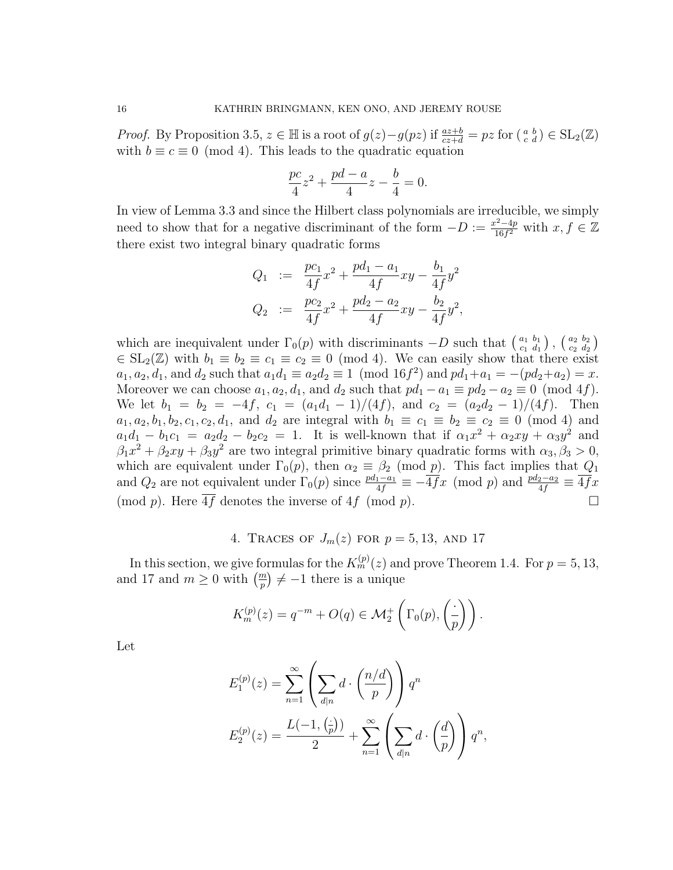*Proof.* By Proposition 3.5,  $z \in \mathbb{H}$  is a root of  $g(z) - g(pz)$  if  $\frac{az+b}{cz+d} = pz$  for  $\left(\begin{smallmatrix} a & b \\ c & d \end{smallmatrix}\right) \in SL_2(\mathbb{Z})$ with  $b \equiv c \equiv 0 \pmod{4}$ . This leads to the quadratic equation

$$
\frac{pc}{4}z^2 + \frac{pd - a}{4}z - \frac{b}{4} = 0.
$$

In view of Lemma 3.3 and since the Hilbert class polynomials are irreducible, we simply need to show that for a negative discriminant of the form  $-D := \frac{x^2-4p}{16f^2}$  $\frac{x^2-4p}{16f^2}$  with  $x, f \in \mathbb{Z}$ there exist two integral binary quadratic forms

$$
Q_1 := \frac{pc_1}{4f}x^2 + \frac{pd_1 - a_1}{4f}xy - \frac{b_1}{4f}y^2
$$
  

$$
Q_2 := \frac{pc_2}{4f}x^2 + \frac{pd_2 - a_2}{4f}xy - \frac{b_2}{4f}y^2,
$$

which are inequivalent under  $\Gamma_0(p)$  with discriminants  $-D$  such that  $\begin{pmatrix} a_1 & b_1 \\ c_1 & d_1 \end{pmatrix}$  $\left(\begin{smallmatrix} a_1 & b_1 \ c_1 & d_1 \end{smallmatrix}\right), \, \left(\begin{smallmatrix} a_2 & b_2 \ c_2 & d_2 \end{smallmatrix}\right)$  $\left(\begin{smallmatrix} a_2& b_2\ c_2& d_2\end{smallmatrix}\right)$  $\in SL_2(\mathbb{Z})$  with  $b_1 \equiv b_2 \equiv c_1 \equiv c_2 \equiv 0 \pmod{4}$ . We can easily show that there exist  $a_1, a_2, d_1$ , and  $d_2$  such that  $a_1 d_1 \equiv a_2 d_2 \equiv 1 \pmod{16 f^2}$  and  $pd_1 + a_1 = -(pd_2 + a_2) = x$ . Moreover we can choose  $a_1, a_2, d_1$ , and  $d_2$  such that  $pd_1 - a_1 \equiv pd_2 - a_2 \equiv 0 \pmod{4f}$ . We let  $b_1 = b_2 = -4f$ ,  $c_1 = (a_1d_1 - 1)/(4f)$ , and  $c_2 = (a_2d_2 - 1)/(4f)$ . Then  $a_1, a_2, b_1, b_2, c_1, c_2, d_1$ , and  $d_2$  are integral with  $b_1 \equiv c_1 \equiv b_2 \equiv c_2 \equiv 0 \pmod{4}$  and  $a_1d_1 - b_1c_1 = a_2d_2 - b_2c_2 = 1$ . It is well-known that if  $\alpha_1x^2 + \alpha_2xy + \alpha_3y^2$  and  $\beta_1 x^2 + \beta_2 xy + \beta_3 y^2$  are two integral primitive binary quadratic forms with  $\alpha_3, \beta_3 > 0$ , which are equivalent under  $\Gamma_0(p)$ , then  $\alpha_2 \equiv \beta_2 \pmod{p}$ . This fact implies that  $Q_1$ and  $Q_2$  are not equivalent under  $\Gamma_0(p)$  since  $\frac{pd_1 - a_1}{4f} \equiv -\overline{4f}x \pmod{p}$  and  $\frac{pd_2 - a_2}{4f} \equiv \overline{4f}x$ (mod p). Here  $\overline{4f}$  denotes the inverse of  $4f \pmod{p}$ .

## 4. TRACES OF  $J_m(z)$  for  $p = 5, 13$ , and 17

In this section, we give formulas for the  $K_m^{(p)}(z)$  and prove Theorem 1.4. For  $p=5,13,$ and 17 and  $m \geq 0$  with  $\left(\frac{m}{p}\right) \neq -1$  there is a unique

$$
K_m^{(p)}(z) = q^{-m} + O(q) \in \mathcal{M}_2^+ \left( \Gamma_0(p), \left( \frac{\cdot}{p} \right) \right).
$$

Let

$$
E_1^{(p)}(z) = \sum_{n=1}^{\infty} \left( \sum_{d|n} d \cdot \left( \frac{n/d}{p} \right) \right) q^n
$$
  

$$
E_2^{(p)}(z) = \frac{L(-1, \left(\frac{z}{p}\right))}{2} + \sum_{n=1}^{\infty} \left( \sum_{d|n} d \cdot \left( \frac{d}{p} \right) \right) q^n,
$$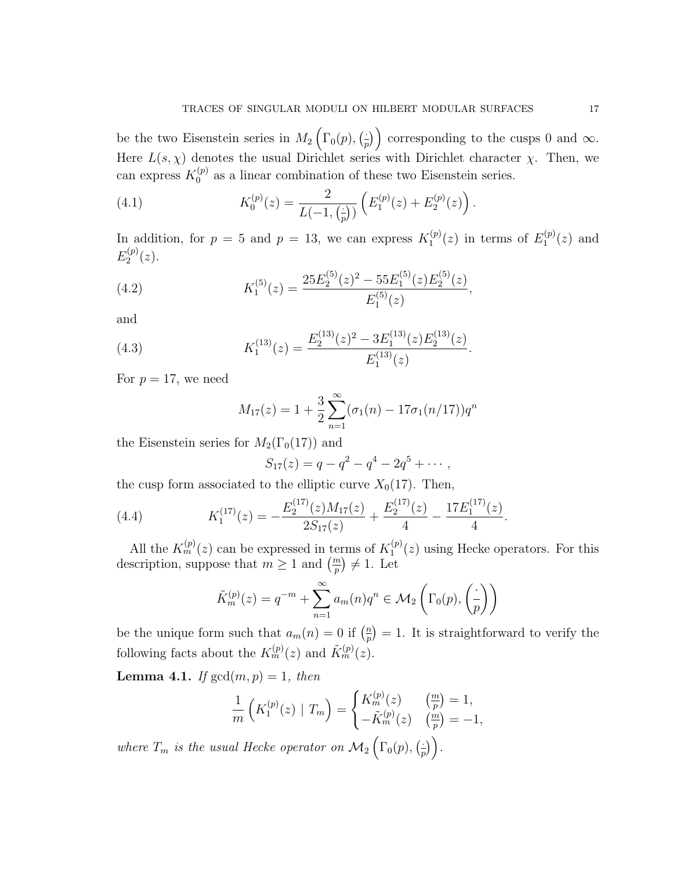be the two Eisenstein series in  $M_2(\Gamma_0(p),\frac{1}{r})$  $\left(\frac{1}{p}\right)$  corresponding to the cusps 0 and  $\infty$ . Here  $L(s, \chi)$  denotes the usual Dirichlet series with Dirichlet character  $\chi$ . Then, we can express  $K_0^{(p)}$  $_{0}^{(p)}$  as a linear combination of these two Eisenstein series.

(4.1) 
$$
K_0^{(p)}(z) = \frac{2}{L(-1, \left(\frac{z}{p}\right))} \left( E_1^{(p)}(z) + E_2^{(p)}(z) \right).
$$

In addition, for  $p = 5$  and  $p = 13$ , we can express  $K_1^{(p)}$  $f_1^{(p)}(z)$  in terms of  $E_1^{(p)}$  $j_1^{(p)}(z)$  and  $E_2^{(p)}$  $2^{(p)}(z).$ 

(4.2) 
$$
K_1^{(5)}(z) = \frac{25E_2^{(5)}(z)^2 - 55E_1^{(5)}(z)E_2^{(5)}(z)}{E_1^{(5)}(z)},
$$

and

(4.3) 
$$
K_1^{(13)}(z) = \frac{E_2^{(13)}(z)^2 - 3E_1^{(13)}(z)E_2^{(13)}(z)}{E_1^{(13)}(z)}.
$$

For  $p = 17$ , we need

$$
M_{17}(z) = 1 + \frac{3}{2} \sum_{n=1}^{\infty} (\sigma_1(n) - 17\sigma_1(n/17))q^n
$$

the Eisenstein series for  $M_2(\Gamma_0(17))$  and

$$
S_{17}(z) = q - q^2 - q^4 - 2q^5 + \cdots,
$$

the cusp form associated to the elliptic curve  $X_0(17)$ . Then,

(4.4) 
$$
K_1^{(17)}(z) = -\frac{E_2^{(17)}(z)M_{17}(z)}{2S_{17}(z)} + \frac{E_2^{(17)}(z)}{4} - \frac{17E_1^{(17)}(z)}{4}.
$$

All the  $K_m^{(p)}(z)$  can be expressed in terms of  $K_1^{(p)}$  $1^{(p)}(z)$  using Hecke operators. For this description, suppose that  $m \geq 1$  and  $\left(\frac{m}{p}\right) \neq 1$ . Let

$$
\tilde{K}_m^{(p)}(z) = q^{-m} + \sum_{n=1}^{\infty} a_m(n)q^n \in \mathcal{M}_2\left(\Gamma_0(p), \left(\frac{\cdot}{p}\right)\right)
$$

be the unique form such that  $a_m(n) = 0$  if  $\left(\frac{n}{n}\right)$  $\binom{n}{p} = 1$ . It is straightforward to verify the following facts about the  $K_m^{(p)}(z)$  and  $\tilde{K}_m^{(p)}(z)$ .

**Lemma 4.1.** If  $gcd(m, p) = 1$ , then

$$
\frac{1}{m}\left(K_1^{(p)}(z) \mid T_m\right) = \begin{cases} K_m^{(p)}(z) & \left(\frac{m}{p}\right) = 1, \\ -\tilde{K}_m^{(p)}(z) & \left(\frac{m}{p}\right) = -1, \end{cases}
$$

where  $T_m$  is the usual Hecke operator on  $\mathcal{M}_2\left(\Gamma_0(p),\frac{p}{n}\right)$  $\frac{1}{p}\big)\bigg).$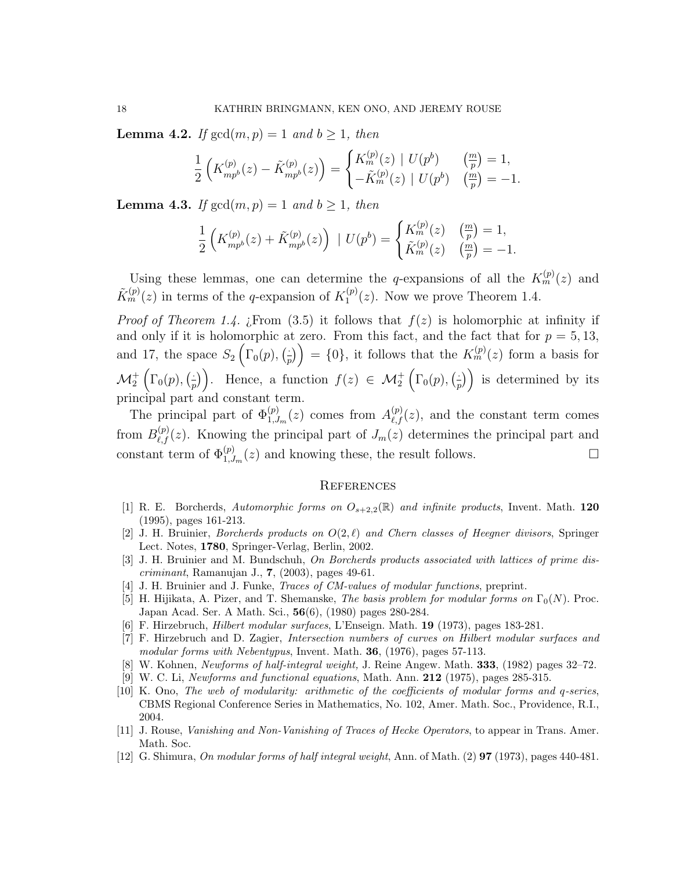**Lemma 4.2.** If  $gcd(m, p) = 1$  and  $b \ge 1$ , then

$$
\frac{1}{2}\left(K_{mp^b}^{(p)}(z) - \tilde{K}_{mp^b}^{(p)}(z)\right) = \begin{cases} K_m^{(p)}(z) \mid U(p^b) & \binom{m}{p} = 1, \\ -\tilde{K}_m^{(p)}(z) \mid U(p^b) & \binom{m}{p} = -1. \end{cases}
$$

**Lemma 4.3.** If  $gcd(m, p) = 1$  and  $b \ge 1$ , then

$$
\frac{1}{2}\left(K_{mp^b}^{(p)}(z) + \tilde{K}_{mp^b}^{(p)}(z)\right) \mid U(p^b) = \begin{cases} K_m^{(p)}(z) & \binom{m}{p} = 1, \\ \tilde{K}_m^{(p)}(z) & \binom{m}{p} = -1. \end{cases}
$$

Using these lemmas, one can determine the q-expansions of all the  $K_m^{(p)}(z)$  and  $\tilde{K}_m^{(p)}(z)$  in terms of the q-expansion of  $K_1^{(p)}$  $1^{(p)}(z)$ . Now we prove Theorem 1.4.

*Proof of Theorem 1.4. i.* From (3.5) it follows that  $f(z)$  is holomorphic at infinity if and only if it is holomorphic at zero. From this fact, and the fact that for  $p = 5, 13$ , and 17, the space  $S_2\left(\Gamma_0(p),\frac{1}{n}\right)$  $\left( \frac{1}{p} \right)$  = {0}, it follows that the  $K_m^{(p)}(z)$  form a basis for  $\mathcal{M}^+_2\left(\Gamma_0(p),\bigl(\frac{1}{p}\bigr.\right)$  $\left(\frac{1}{p}\right)$ . Hence, a function  $f(z) \in \mathcal{M}_2^+\left(\Gamma_0(p), \left(\frac{1}{p}\right)\right)$  $\left(\frac{1}{p}\right)$  is determined by its principal part and constant term.

The principal part of  $\Phi_{1,J_m}^{(p)}(z)$  comes from  $A_{\ell,f}^{(p)}(z)$ , and the constant term comes from  $B_{\ell,f}^{(p)}(z)$ . Knowing the principal part of  $J_m(z)$  determines the principal part and constant term of  $\Phi_{1,J_m}^{(p)}(z)$  and knowing these, the result follows.

#### **REFERENCES**

- [1] R. E. Borcherds, Automorphic forms on  $O_{s+2,2}(\mathbb{R})$  and infinite products, Invent. Math. 120 (1995), pages 161-213.
- [2] J. H. Bruinier, *Borcherds products on*  $O(2,\ell)$  and Chern classes of Heegner divisors, Springer Lect. Notes, 1780, Springer-Verlag, Berlin, 2002.
- [3] J. H. Bruinier and M. Bundschuh, On Borcherds products associated with lattices of prime discriminant, Ramanujan J., 7, (2003), pages 49-61.
- [4] J. H. Bruinier and J. Funke, Traces of CM-values of modular functions, preprint.
- [5] H. Hijikata, A. Pizer, and T. Shemanske, The basis problem for modular forms on  $\Gamma_0(N)$ . Proc. Japan Acad. Ser. A Math. Sci., 56(6), (1980) pages 280-284.
- [6] F. Hirzebruch, Hilbert modular surfaces, L'Enseign. Math. 19 (1973), pages 183-281.
- [7] F. Hirzebruch and D. Zagier, Intersection numbers of curves on Hilbert modular surfaces and modular forms with Nebentypus, Invent. Math. 36, (1976), pages 57-113.
- [8] W. Kohnen, Newforms of half-integral weight, J. Reine Angew. Math. 333, (1982) pages 32–72.
- [9] W. C. Li, Newforms and functional equations, Math. Ann. 212 (1975), pages 285-315.
- [10] K. Ono, The web of modularity: arithmetic of the coefficients of modular forms and q-series, CBMS Regional Conference Series in Mathematics, No. 102, Amer. Math. Soc., Providence, R.I., 2004.
- [11] J. Rouse, Vanishing and Non-Vanishing of Traces of Hecke Operators, to appear in Trans. Amer. Math. Soc.
- [12] G. Shimura, On modular forms of half integral weight, Ann. of Math. (2) 97 (1973), pages 440-481.